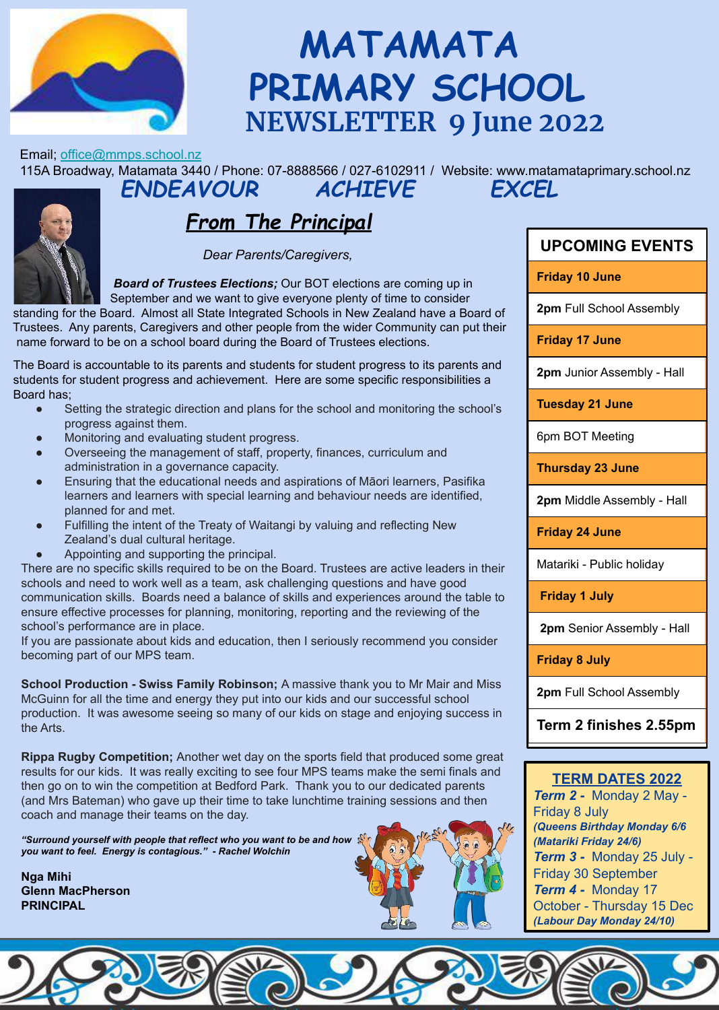

# **MATAMATA PRIMARY SCHOOL NEWSLETTER 9 June 2022**

Email; office@mmps.school.nz

115A Broadway, Matamata 3440 / Phone: 07-8888566 / 027-6102911 / Website: www.matamataprimary.school.nz *ENDEAVOUR ACHIEVE EXCEL*

## *From The Principal*

 *Dear Parents/Caregivers,*

**Example 19 September and the train to give strated plenty of the Concreter Standing for the Board. Almost all State Integrated Schools in New Zealand have a Board of** *Board of Trustees Elections; Our BOT elections are coming up in* September and we want to give everyone plenty of time to consider

 Trustees. Any parents, Caregivers and other people from the wider Community can put their name forward to be on a school board during the Board of Trustees elections.

 The Board is accountable to its parents and students for student progress to its parents and students for student progress and achievement. Here are some specific responsibilities a Board has;

- Setting the strategic direction and plans for the school and monitoring the school's progress against them.
- Monitoring and evaluating student progress.
- Overseeing the management of staff, property, finances, curriculum and administration in a governance capacity.
- Ensuring that the educational needs and aspirations of Māori learners, Pasifika learners and learners with special learning and behaviour needs are identified, planned for and met.
- Fulfilling the intent of the Treaty of Waitangi by valuing and reflecting New Zealand's dual cultural heritage.
- Appointing and supporting the principal.

There are no specific skills required to be on the Board. Trustees are active leaders in their schools and need to work well as a team, ask challenging questions and have good communication skills. Boards need a balance of skills and experiences around the table to ensure effective processes for planning, monitoring, reporting and the reviewing of the school's performance are in place.

If you are passionate about kids and education, then I seriously recommend you consider becoming part of our MPS team.

**School Production - Swiss Family Robinson;** A massive thank you to Mr Mair and Miss McGuinn for all the time and energy they put into our kids and our successful school production. It was awesome seeing so many of our kids on stage and enjoying success in the Arts.

**Rippa Rugby Competition;** Another wet day on the sports field that produced some great results for our kids. It was really exciting to see four MPS teams make the semi finals and then go on to win the competition at Bedford Park. Thank you to our dedicated parents (and Mrs Bateman) who gave up their time to take lunchtime training sessions and then coach and manage their teams on the day.

*"Surround yourself with people that reflect who you want to be and how you want to feel. Energy is contagious." - Rachel Wolchin*

**Nga Mihi Glenn MacPherson PRINCIPAL**



| <b>UPCOMING EVENTS</b> |  |
|------------------------|--|

**Friday 10 June**

**2pm** Full School Assembly

**Friday 17 June**

**2pm** Junior Assembly - Hall

**Tuesday 21 June** 

6pm BOT Meeting

**Thursday 23 June**

**2pm** Middle Assembly - Hall

**Friday 24 June**

Matariki - Public holiday

 **Friday 1 July**

 **2pm** Senior Assembly - Hall

**Friday 8 July**

**2pm** Full School Assembly

**Term 2 finishes 2.55pm**

### **TERM DATES 2022**

*Term 2 -* Monday 2 May - Friday 8 July *(Queens Birthday Monday 6/6 (Matariki Friday 24/6) Term 3 -* Monday 25 July - Friday 30 September *Term 4 -* Monday 17 October - Thursday 15 Dec *(Labour Day Monday 24/10)*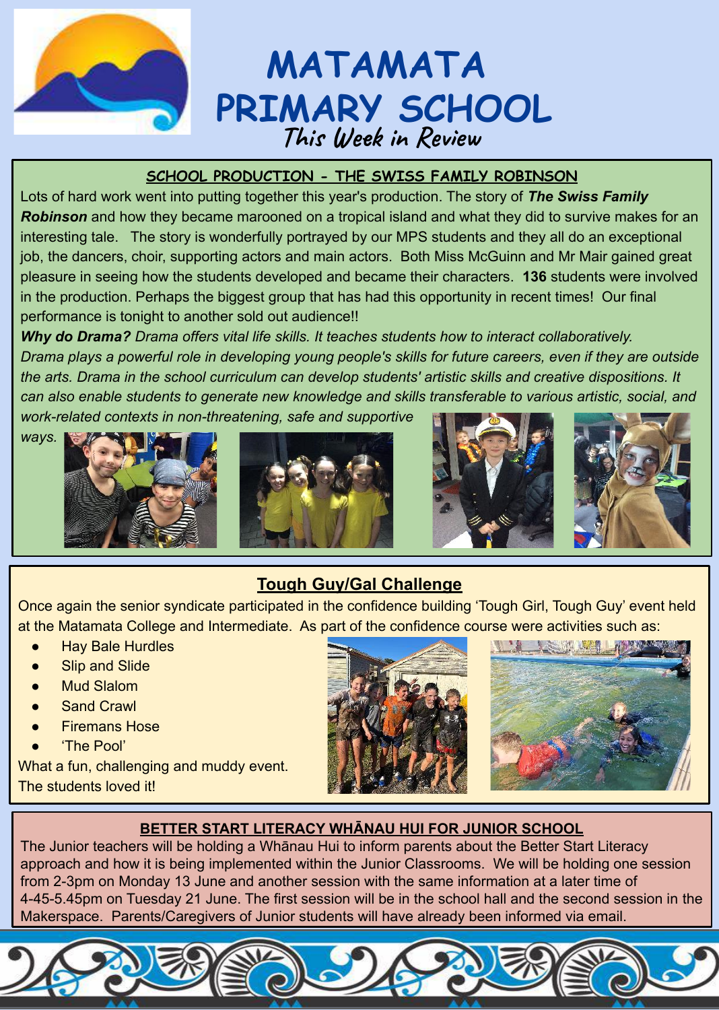

# **MATAMATA PRIMARY SCHOOL This Week in Review**

### **SCHOOL PRODUCTION - THE SWISS FAMILY ROBINSON**

Lots of hard work went into putting together this year's production. The story of *The Swiss Family Robinson* and how they became marooned on a tropical island and what they did to survive makes for an interesting tale. The story is wonderfully portrayed by our MPS students and they all do an exceptional job, the dancers, choir, supporting actors and main actors. Both Miss McGuinn and Mr Mair gained great pleasure in seeing how the students developed and became their characters. **136** students were involved in the production. Perhaps the biggest group that has had this opportunity in recent times! Our final performance is tonight to another sold out audience!!

*Why do Drama? Drama offers vital life skills. It teaches students how to interact collaboratively. Drama plays a powerful role in developing young people's skills for future careers, even if they are outside the arts. Drama in the school curriculum can develop students' artistic skills and creative dispositions. It can also enable students to generate new knowledge and skills transferable to various artistic, social, and work-related contexts in non-threatening, safe and supportive* 

*ways.* 







## **Tough Guy/Gal Challenge**

Once again the senior syndicate participated in the confidence building 'Tough Girl, Tough Guy' event held at the Matamata College and Intermediate. As part of the confidence course were activities such as:

- **Hay Bale Hurdles**
- **Slip and Slide**
- **Mud Slalom**
- **Sand Crawl**
- **Firemans Hose**
- 'The Pool'

What a fun, challenging and muddy event. The students loved it!





### **BETTER START LITERACY WHĀNAU HUI FOR JUNIOR SCHOOL**

The Junior teachers will be holding a Whānau Hui to inform parents about the Better Start Literacy approach and how it is being implemented within the Junior Classrooms. We will be holding one session from 2-3pm on Monday 13 June and another session with the same information at a later time of 4-45-5.45pm on Tuesday 21 June. The first session will be in the school hall and the second session in the Makerspace. Parents/Caregivers of Junior students will have already been informed via email.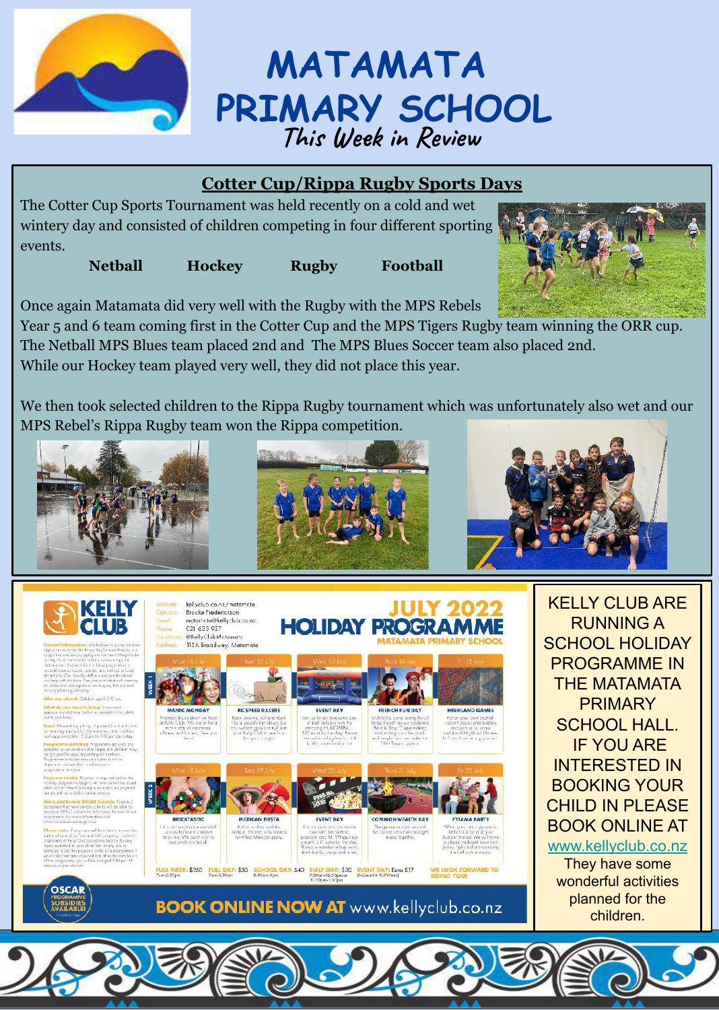

# **MATAMATA PRIMARY SCHOOL This Week in Review**

## **Cotter Cup/Rippa Rugby Sports Days**

The Cotter Cup Sports Tournament was held recently on a cold and wet wintery day and consisted of children competing in four different sporting events.

**Netball Hockey Rugby Football**

Once again Matamata did very well with the Rugby with the MPS Rebels

Year 5 and 6 team coming first in the Cotter Cup and the MPS Tigers Rugby team winning the ORR cup. The Netball MPS Blues team placed 2nd and The MPS Blues Soccer team also placed 2nd. While our Hockey team played very well, they did not place this year.

We then took selected children to the Rippa Rugby tournament which was unfortunately also wet and our MPS Rebel's Rippa Rugby team won the Rippa competition.



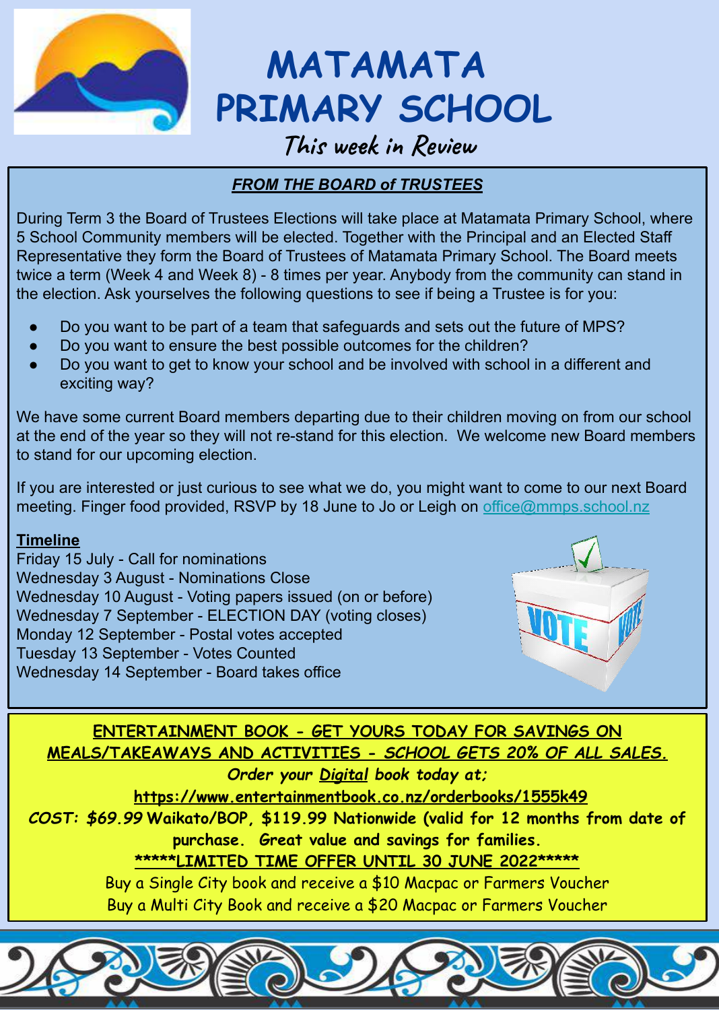

**MATAMATA PRIMARY SCHOOL**

## **This week in Review**

### *FROM THE BOARD of TRUSTEES*

During Term 3 the Board of Trustees Elections will take place at Matamata Primary School, where 5 School Community members will be elected. Together with the Principal and an Elected Staff Representative they form the Board of Trustees of Matamata Primary School. The Board meets twice a term (Week 4 and Week 8) - 8 times per year. Anybody from the community can stand in the election. Ask yourselves the following questions to see if being a Trustee is for you:

- Do you want to be part of a team that safeguards and sets out the future of MPS?
- Do you want to ensure the best possible outcomes for the children?
- Do you want to get to know your school and be involved with school in a different and exciting way?

We have some current Board members departing due to their children moving on from our school at the end of the year so they will not re-stand for this election. We welcome new Board members to stand for our upcoming election.

If you are interested or just curious to see what we do, you might want to come to our next Board meeting. Finger food provided, RSVP by 18 June to Jo or Leigh on office@mmps.school.nz

### **Timeline**

Friday 15 July - Call for nominations Wednesday 3 August - Nominations Close Wednesday 10 August - Voting papers issued (on or before) Wednesday 7 September - ELECTION DAY (voting closes) Monday 12 September - Postal votes accepted Tuesday 13 September - Votes Counted Wednesday 14 September - Board takes office



**ENTERTAINMENT BOOK - GET YOURS TODAY FOR SAVINGS ON MEALS/TAKEAWAYS AND ACTIVITIES -** *SCHOOL GETS 20% OF ALL SALES.*

*Order your Digital book today at;* 

**https://www.entertainmentbook.co.nz/orderbooks/1555k49**

*COST: \$69.99* **Waikato/BOP, \$119.99 Nationwide (valid for 12 months from date of purchase. Great value and savings for families.**

**\*\*\*\*\*LIMITED TIME OFFER UNTIL 30 JUNE 2022\*\*\*\*\***

Buy a Single City book and receive a \$10 Macpac or Farmers Voucher Buy a Multi City Book and receive a \$20 Macpac or Farmers Voucher